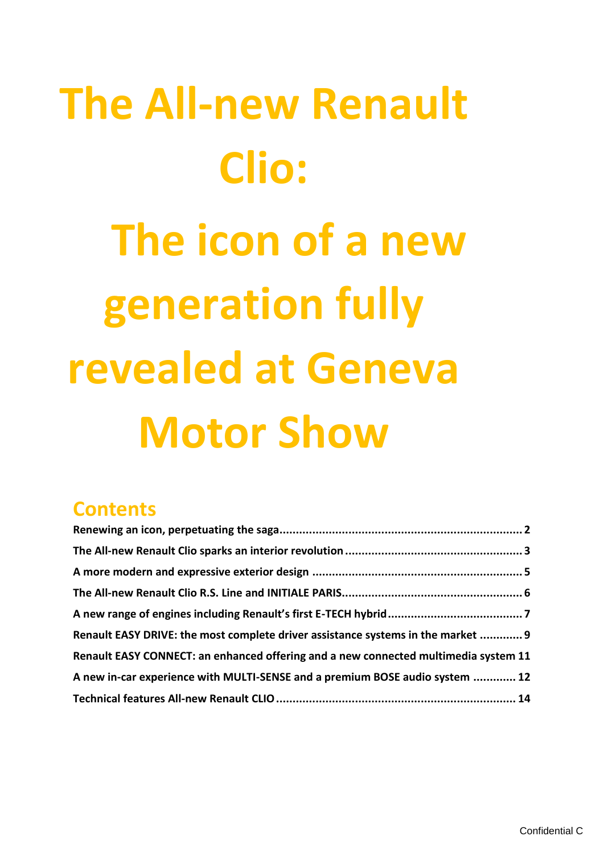# **The All-new Renault Clio: The icon of a new generation fully revealed at Geneva Motor Show**

# **Contents**

| Renault EASY DRIVE: the most complete driver assistance systems in the market  9    |  |
|-------------------------------------------------------------------------------------|--|
| Renault EASY CONNECT: an enhanced offering and a new connected multimedia system 11 |  |
| A new in-car experience with MULTI-SENSE and a premium BOSE audio system  12        |  |
|                                                                                     |  |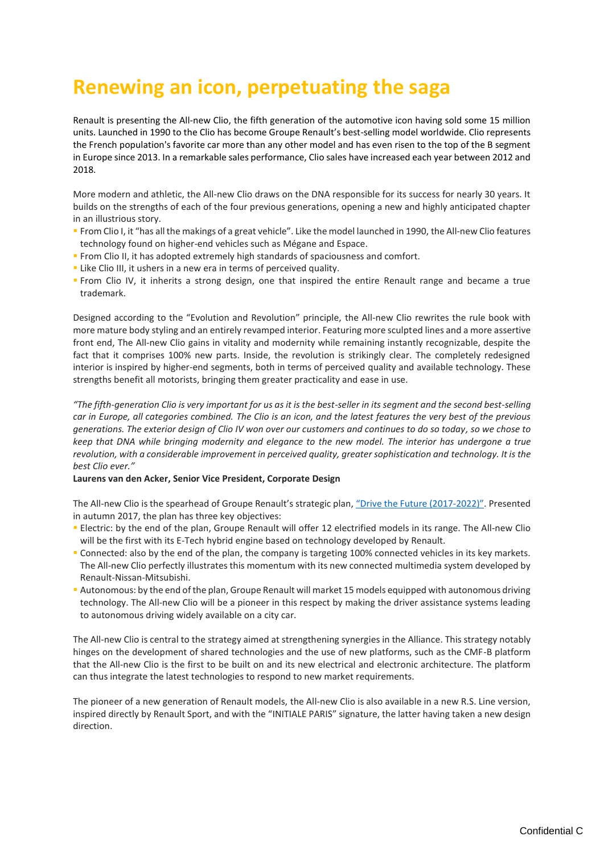# <span id="page-1-0"></span>**Renewing an icon, perpetuating the saga**

Renault is presenting the All-new Clio, the fifth generation of the automotive icon having sold some 15 million units. Launched in 1990 to the Clio has become Groupe Renault's best-selling model worldwide. Clio represents the French population's favorite car more than any other model and has even risen to the top of the B segment in Europe since 2013. In a remarkable sales performance, Clio sales have increased each year between 2012 and 2018.

More modern and athletic, the All-new Clio draws on the DNA responsible for its success for nearly 30 years. It builds on the strengths of each of the four previous generations, opening a new and highly anticipated chapter in an illustrious story.

- From Clio I, it "has all the makings of a great vehicle". Like the model launched in 1990, the All-new Clio features technology found on higher-end vehicles such as Mégane and Espace.
- **From Clio II, it has adopted extremely high standards of spaciousness and comfort.**
- Like Clio III, it ushers in a new era in terms of perceived quality.
- From Clio IV, it inherits a strong design, one that inspired the entire Renault range and became a true trademark.

Designed according to the "Evolution and Revolution" principle, the All-new Clio rewrites the rule book with more mature body styling and an entirely revamped interior. Featuring more sculpted lines and a more assertive front end, The All-new Clio gains in vitality and modernity while remaining instantly recognizable, despite the fact that it comprises 100% new parts. Inside, the revolution is strikingly clear. The completely redesigned interior is inspired by higher-end segments, both in terms of perceived quality and available technology. These strengths benefit all motorists, bringing them greater practicality and ease in use.

*"The fifth-generation Clio is very important for us as it is the best-seller in its segment and the second best-selling car in Europe, all categories combined. The Clio is an icon, and the latest features the very best of the previous generations. The exterior design of Clio IV won over our customers and continues to do so today, so we chose to keep that DNA while bringing modernity and elegance to the new model. The interior has undergone a true revolution, with a considerable improvement in perceived quality, greater sophistication and technology. It is the best Clio ever."*

#### **Laurens van den Acker, Senior Vice President, Corporate Design**

The All-new Clio is the spearhead of Groupe Renault's strategic plan, ["Drive the Future \(2017](https://drivethefuture.groupe.renault.com/en)-2022)". Presented in autumn 2017, the plan has three key objectives:

- Electric: by the end of the plan, Groupe Renault will offer 12 electrified models in its range. The All-new Clio will be the first with its E-Tech hybrid engine based on technology developed by Renault.
- Connected: also by the end of the plan, the company is targeting 100% connected vehicles in its key markets. The All-new Clio perfectly illustrates this momentum with its new connected multimedia system developed by Renault-Nissan-Mitsubishi.
- Autonomous: by the end of the plan, Groupe Renault will market 15 models equipped with autonomous driving technology. The All-new Clio will be a pioneer in this respect by making the driver assistance systems leading to autonomous driving widely available on a city car.

The All-new Clio is central to the strategy aimed at strengthening synergies in the Alliance. This strategy notably hinges on the development of shared technologies and the use of new platforms, such as the CMF-B platform that the All-new Clio is the first to be built on and its new electrical and electronic architecture. The platform can thus integrate the latest technologies to respond to new market requirements.

The pioneer of a new generation of Renault models, the All-new Clio is also available in a new R.S. Line version, inspired directly by Renault Sport, and with the "INITIALE PARIS" signature, the latter having taken a new design direction.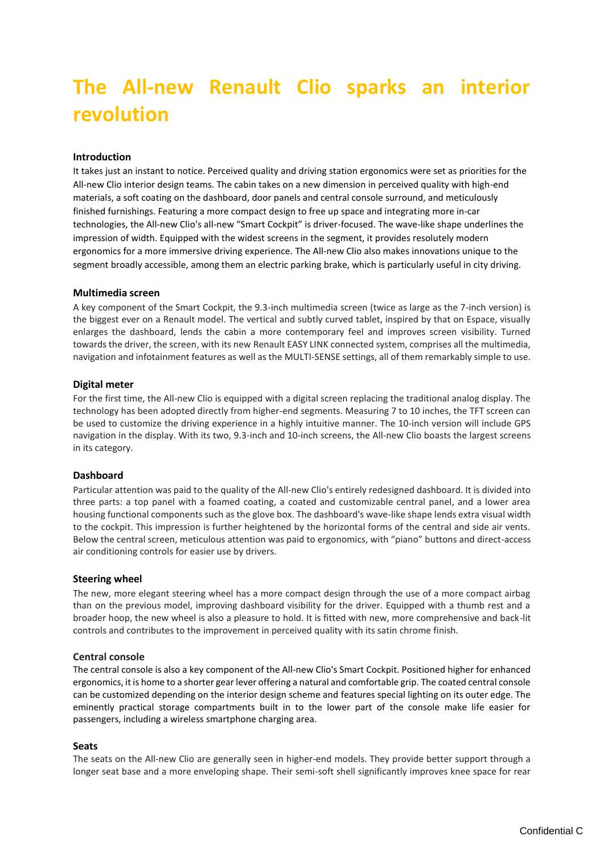# <span id="page-2-0"></span>**The All-new Renault Clio sparks an interior revolution**

# **Introduction**

It takes just an instant to notice. Perceived quality and driving station ergonomics were set as priorities for the All-new Clio interior design teams. The cabin takes on a new dimension in perceived quality with high-end materials, a soft coating on the dashboard, door panels and central console surround, and meticulously finished furnishings. Featuring a more compact design to free up space and integrating more in-car technologies, the All-new Clio's all-new "Smart Cockpit" is driver-focused. The wave-like shape underlines the impression of width. Equipped with the widest screens in the segment, it provides resolutely modern ergonomics for a more immersive driving experience. The All-new Clio also makes innovations unique to the segment broadly accessible, among them an electric parking brake, which is particularly useful in city driving.

#### **Multimedia screen**

A key component of the Smart Cockpit, the 9.3-inch multimedia screen (twice as large as the 7-inch version) is the biggest ever on a Renault model. The vertical and subtly curved tablet, inspired by that on Espace, visually enlarges the dashboard, lends the cabin a more contemporary feel and improves screen visibility. Turned towards the driver, the screen, with its new Renault EASY LINK connected system, comprises all the multimedia, navigation and infotainment features as well as the MULTI-SENSE settings, all of them remarkably simple to use.

#### **Digital meter**

For the first time, the All-new Clio is equipped with a digital screen replacing the traditional analog display. The technology has been adopted directly from higher-end segments. Measuring 7 to 10 inches, the TFT screen can be used to customize the driving experience in a highly intuitive manner. The 10-inch version will include GPS navigation in the display. With its two, 9.3-inch and 10-inch screens, the All-new Clio boasts the largest screens in its category.

#### **Dashboard**

Particular attention was paid to the quality of the All-new Clio's entirely redesigned dashboard. It is divided into three parts: a top panel with a foamed coating, a coated and customizable central panel, and a lower area housing functional components such as the glove box. The dashboard's wave-like shape lends extra visual width to the cockpit. This impression is further heightened by the horizontal forms of the central and side air vents. Below the central screen, meticulous attention was paid to ergonomics, with "piano" buttons and direct-access air conditioning controls for easier use by drivers.

#### **Steering wheel**

The new, more elegant steering wheel has a more compact design through the use of a more compact airbag than on the previous model, improving dashboard visibility for the driver. Equipped with a thumb rest and a broader hoop, the new wheel is also a pleasure to hold. It is fitted with new, more comprehensive and back-lit controls and contributes to the improvement in perceived quality with its satin chrome finish.

#### **Central console**

The central console is also a key component of the All-new Clio's Smart Cockpit. Positioned higher for enhanced ergonomics, it is home to a shorter gear lever offering a natural and comfortable grip. The coated central console can be customized depending on the interior design scheme and features special lighting on its outer edge. The eminently practical storage compartments built in to the lower part of the console make life easier for passengers, including a wireless smartphone charging area.

#### **Seats**

The seats on the All-new Clio are generally seen in higher-end models. They provide better support through a longer seat base and a more enveloping shape. Their semi-soft shell significantly improves knee space for rear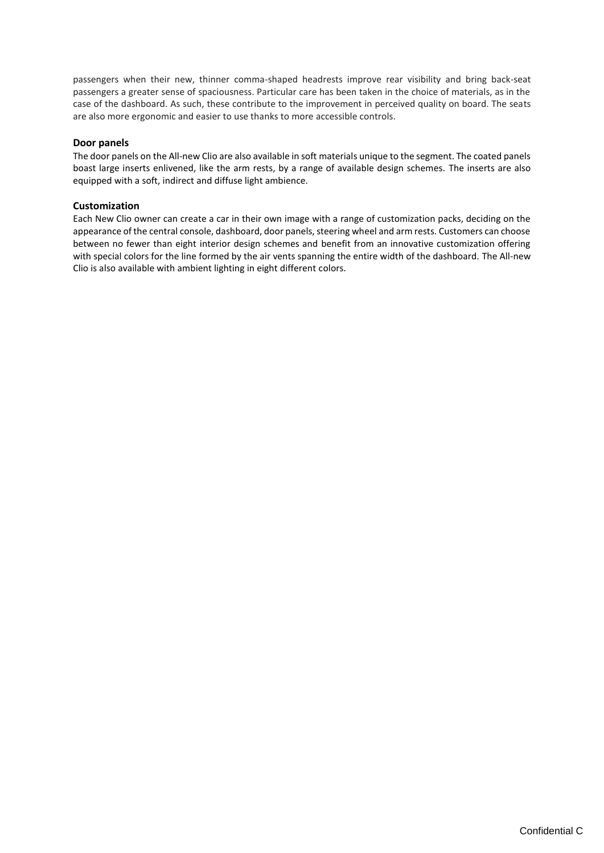passengers when their new, thinner comma-shaped headrests improve rear visibility and bring back-seat passengers a greater sense of spaciousness. Particular care has been taken in the choice of materials, as in the case of the dashboard. As such, these contribute to the improvement in perceived quality on board. The seats are also more ergonomic and easier to use thanks to more accessible controls.

# **Door panels**

The door panels on the All-new Clio are also available in soft materials unique to the segment. The coated panels boast large inserts enlivened, like the arm rests, by a range of available design schemes. The inserts are also equipped with a soft, indirect and diffuse light ambience.

# **Customization**

Each New Clio owner can create a car in their own image with a range of customization packs, deciding on the appearance of the central console, dashboard, door panels, steering wheel and arm rests. Customers can choose between no fewer than eight interior design schemes and benefit from an innovative customization offering with special colors for the line formed by the air vents spanning the entire width of the dashboard. The All-new Clio is also available with ambient lighting in eight different colors.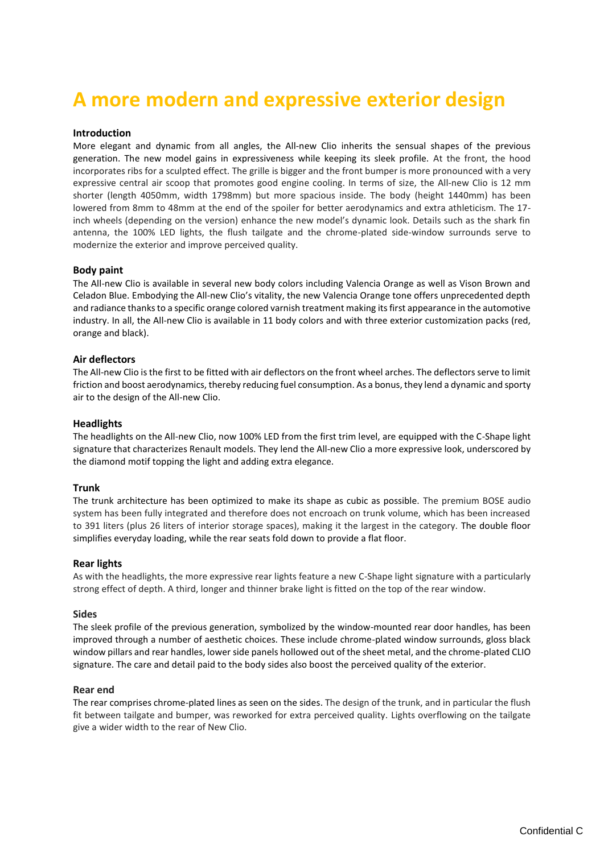# <span id="page-4-0"></span>**A more modern and expressive exterior design**

### **Introduction**

More elegant and dynamic from all angles, the All-new Clio inherits the sensual shapes of the previous generation. The new model gains in expressiveness while keeping its sleek profile. At the front, the hood incorporates ribs for a sculpted effect. The grille is bigger and the front bumper is more pronounced with a very expressive central air scoop that promotes good engine cooling. In terms of size, the All-new Clio is 12 mm shorter (length 4050mm, width 1798mm) but more spacious inside. The body (height 1440mm) has been lowered from 8mm to 48mm at the end of the spoiler for better aerodynamics and extra athleticism. The 17 inch wheels (depending on the version) enhance the new model's dynamic look. Details such as the shark fin antenna, the 100% LED lights, the flush tailgate and the chrome-plated side-window surrounds serve to modernize the exterior and improve perceived quality.

#### **Body paint**

The All-new Clio is available in several new body colors including Valencia Orange as well as Vison Brown and Celadon Blue. Embodying the All-new Clio's vitality, the new Valencia Orange tone offers unprecedented depth and radiance thanks to a specific orange colored varnish treatment making its first appearance in the automotive industry. In all, the All-new Clio is available in 11 body colors and with three exterior customization packs (red, orange and black).

#### **Air deflectors**

The All-new Clio is the first to be fitted with air deflectors on the front wheel arches. The deflectors serve to limit friction and boost aerodynamics, thereby reducing fuel consumption. As a bonus, they lend a dynamic and sporty air to the design of the All-new Clio.

#### **Headlights**

The headlights on the All-new Clio, now 100% LED from the first trim level, are equipped with the C-Shape light signature that characterizes Renault models. They lend the All-new Clio a more expressive look, underscored by the diamond motif topping the light and adding extra elegance.

#### **Trunk**

The trunk architecture has been optimized to make its shape as cubic as possible. The premium BOSE audio system has been fully integrated and therefore does not encroach on trunk volume, which has been increased to 391 liters (plus 26 liters of interior storage spaces), making it the largest in the category. The double floor simplifies everyday loading, while the rear seats fold down to provide a flat floor.

#### **Rear lights**

As with the headlights, the more expressive rear lights feature a new C-Shape light signature with a particularly strong effect of depth. A third, longer and thinner brake light is fitted on the top of the rear window.

#### **Sides**

The sleek profile of the previous generation, symbolized by the window-mounted rear door handles, has been improved through a number of aesthetic choices. These include chrome-plated window surrounds, gloss black window pillars and rear handles, lower side panels hollowed out of the sheet metal, and the chrome-plated CLIO signature. The care and detail paid to the body sides also boost the perceived quality of the exterior.

#### **Rear end**

The rear comprises chrome-plated lines as seen on the sides. The design of the trunk, and in particular the flush fit between tailgate and bumper, was reworked for extra perceived quality. Lights overflowing on the tailgate give a wider width to the rear of New Clio.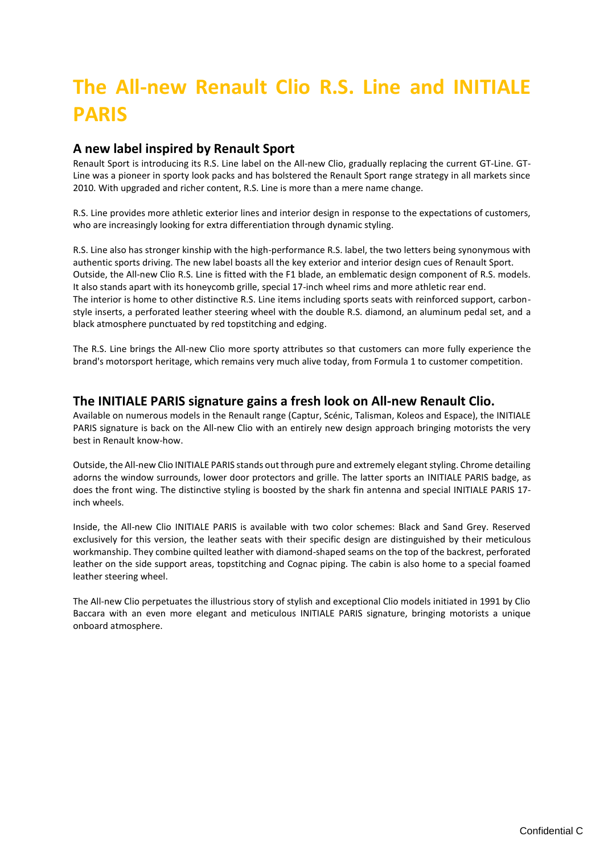# <span id="page-5-0"></span>**The All-new Renault Clio R.S. Line and INITIALE PARIS**

# **A new label inspired by Renault Sport**

Renault Sport is introducing its R.S. Line label on the All-new Clio, gradually replacing the current GT-Line. GT-Line was a pioneer in sporty look packs and has bolstered the Renault Sport range strategy in all markets since 2010. With upgraded and richer content, R.S. Line is more than a mere name change.

R.S. Line provides more athletic exterior lines and interior design in response to the expectations of customers, who are increasingly looking for extra differentiation through dynamic styling.

R.S. Line also has stronger kinship with the high-performance R.S. label, the two letters being synonymous with authentic sports driving. The new label boasts all the key exterior and interior design cues of Renault Sport. Outside, the All-new Clio R.S. Line is fitted with the F1 blade, an emblematic design component of R.S. models. It also stands apart with its honeycomb grille, special 17-inch wheel rims and more athletic rear end. The interior is home to other distinctive R.S. Line items including sports seats with reinforced support, carbonstyle inserts, a perforated leather steering wheel with the double R.S. diamond, an aluminum pedal set, and a black atmosphere punctuated by red topstitching and edging.

The R.S. Line brings the All-new Clio more sporty attributes so that customers can more fully experience the brand's motorsport heritage, which remains very much alive today, from Formula 1 to customer competition.

# **The INITIALE PARIS signature gains a fresh look on All-new Renault Clio.**

Available on numerous models in the Renault range (Captur, Scénic, Talisman, Koleos and Espace), the INITIALE PARIS signature is back on the All-new Clio with an entirely new design approach bringing motorists the very best in Renault know-how.

Outside, the All-new Clio INITIALE PARIS stands out through pure and extremely elegant styling. Chrome detailing adorns the window surrounds, lower door protectors and grille. The latter sports an INITIALE PARIS badge, as does the front wing. The distinctive styling is boosted by the shark fin antenna and special INITIALE PARIS 17 inch wheels.

Inside, the All-new Clio INITIALE PARIS is available with two color schemes: Black and Sand Grey. Reserved exclusively for this version, the leather seats with their specific design are distinguished by their meticulous workmanship. They combine quilted leather with diamond-shaped seams on the top of the backrest, perforated leather on the side support areas, topstitching and Cognac piping. The cabin is also home to a special foamed leather steering wheel.

The All-new Clio perpetuates the illustrious story of stylish and exceptional Clio models initiated in 1991 by Clio Baccara with an even more elegant and meticulous INITIALE PARIS signature, bringing motorists a unique onboard atmosphere.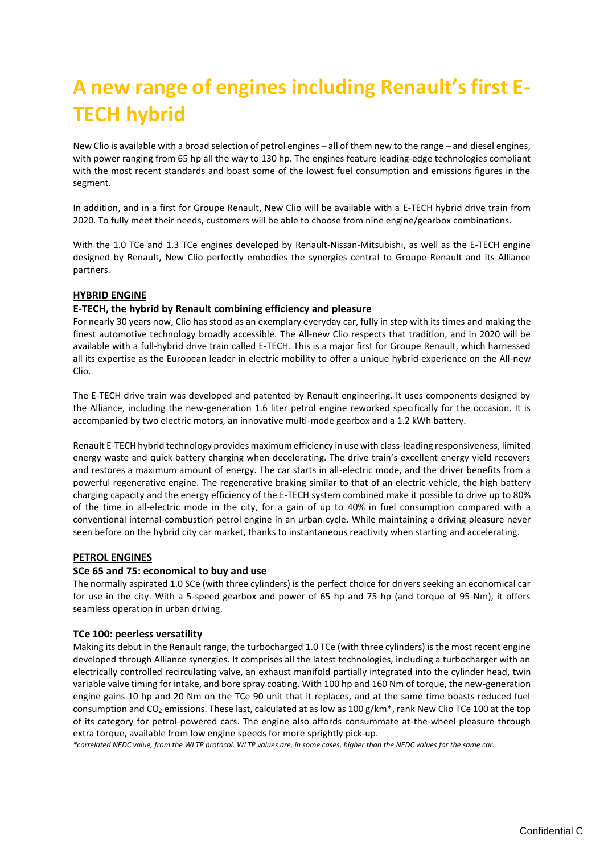# <span id="page-6-0"></span>**A new range of engines including Renault's first E-TECH hybrid**

New Clio is available with a broad selection of petrol engines – all of them new to the range – and diesel engines, with power ranging from 65 hp all the way to 130 hp. The engines feature leading-edge technologies compliant with the most recent standards and boast some of the lowest fuel consumption and emissions figures in the segment.

In addition, and in a first for Groupe Renault, New Clio will be available with a E-TECH hybrid drive train from 2020. To fully meet their needs, customers will be able to choose from nine engine/gearbox combinations.

With the 1.0 TCe and 1.3 TCe engines developed by Renault-Nissan-Mitsubishi, as well as the E-TECH engine designed by Renault, New Clio perfectly embodies the synergies central to Groupe Renault and its Alliance partners.

# **HYBRID ENGINE**

# **E-TECH, the hybrid by Renault combining efficiency and pleasure**

For nearly 30 years now, Clio has stood as an exemplary everyday car, fully in step with its times and making the finest automotive technology broadly accessible. The All-new Clio respects that tradition, and in 2020 will be available with a full-hybrid drive train called E-TECH. This is a major first for Groupe Renault, which harnessed all its expertise as the European leader in electric mobility to offer a unique hybrid experience on the All-new Clio.

The E-TECH drive train was developed and patented by Renault engineering. It uses components designed by the Alliance, including the new-generation 1.6 liter petrol engine reworked specifically for the occasion. It is accompanied by two electric motors, an innovative multi-mode gearbox and a 1.2 kWh battery.

Renault E-TECH hybrid technology provides maximum efficiency in use with class-leading responsiveness, limited energy waste and quick battery charging when decelerating. The drive train's excellent energy yield recovers and restores a maximum amount of energy. The car starts in all-electric mode, and the driver benefits from a powerful regenerative engine. The regenerative braking similar to that of an electric vehicle, the high battery charging capacity and the energy efficiency of the E-TECH system combined make it possible to drive up to 80% of the time in all-electric mode in the city, for a gain of up to 40% in fuel consumption compared with a conventional internal-combustion petrol engine in an urban cycle. While maintaining a driving pleasure never seen before on the hybrid city car market, thanks to instantaneous reactivity when starting and accelerating.

# **PETROL ENGINES**

# **SCe 65 and 75: economical to buy and use**

The normally aspirated 1.0 SCe (with three cylinders) is the perfect choice for drivers seeking an economical car for use in the city. With a 5-speed gearbox and power of 65 hp and 75 hp (and torque of 95 Nm), it offers seamless operation in urban driving.

# **TCe 100: peerless versatility**

Making its debut in the Renault range, the turbocharged 1.0 TCe (with three cylinders) is the most recent engine developed through Alliance synergies. It comprises all the latest technologies, including a turbocharger with an electrically controlled recirculating valve, an exhaust manifold partially integrated into the cylinder head, twin variable valve timing for intake, and bore spray coating. With 100 hp and 160 Nm of torque, the new-generation engine gains 10 hp and 20 Nm on the TCe 90 unit that it replaces, and at the same time boasts reduced fuel consumption and CO<sub>2</sub> emissions. These last, calculated at as low as 100 g/km<sup>\*</sup>, rank New Clio TCe 100 at the top of its category for petrol-powered cars. The engine also affords consummate at-the-wheel pleasure through extra torque, available from low engine speeds for more sprightly pick-up.

*\*correlated NEDC value, from the WLTP protocol. WLTP values are, in some cases, higher than the NEDC values for the same car.*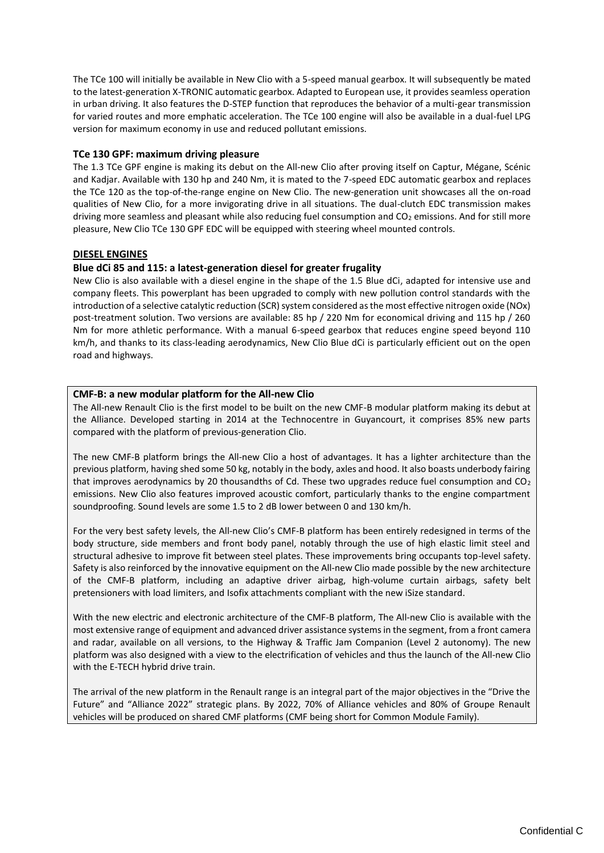The TCe 100 will initially be available in New Clio with a 5-speed manual gearbox. It will subsequently be mated to the latest-generation X-TRONIC automatic gearbox. Adapted to European use, it provides seamless operation in urban driving. It also features the D-STEP function that reproduces the behavior of a multi-gear transmission for varied routes and more emphatic acceleration. The TCe 100 engine will also be available in a dual-fuel LPG version for maximum economy in use and reduced pollutant emissions.

# **TCe 130 GPF: maximum driving pleasure**

The 1.3 TCe GPF engine is making its debut on the All-new Clio after proving itself on Captur, Mégane, Scénic and Kadjar. Available with 130 hp and 240 Nm, it is mated to the 7-speed EDC automatic gearbox and replaces the TCe 120 as the top-of-the-range engine on New Clio. The new-generation unit showcases all the on-road qualities of New Clio, for a more invigorating drive in all situations. The dual-clutch EDC transmission makes driving more seamless and pleasant while also reducing fuel consumption and CO<sub>2</sub> emissions. And for still more pleasure, New Clio TCe 130 GPF EDC will be equipped with steering wheel mounted controls.

# **DIESEL ENGINES**

# **Blue dCi 85 and 115: a latest-generation diesel for greater frugality**

New Clio is also available with a diesel engine in the shape of the 1.5 Blue dCi, adapted for intensive use and company fleets. This powerplant has been upgraded to comply with new pollution control standards with the introduction of a selective catalytic reduction (SCR) system considered as the most effective nitrogen oxide (NOx) post-treatment solution. Two versions are available: 85 hp / 220 Nm for economical driving and 115 hp / 260 Nm for more athletic performance. With a manual 6-speed gearbox that reduces engine speed beyond 110 km/h, and thanks to its class-leading aerodynamics, New Clio Blue dCi is particularly efficient out on the open road and highways.

# **CMF-B: a new modular platform for the All-new Clio**

The All-new Renault Clio is the first model to be built on the new CMF-B modular platform making its debut at the Alliance. Developed starting in 2014 at the Technocentre in Guyancourt, it comprises 85% new parts compared with the platform of previous-generation Clio.

The new CMF-B platform brings the All-new Clio a host of advantages. It has a lighter architecture than the previous platform, having shed some 50 kg, notably in the body, axles and hood. It also boasts underbody fairing that improves aerodynamics by 20 thousandths of Cd. These two upgrades reduce fuel consumption and CO<sub>2</sub> emissions. New Clio also features improved acoustic comfort, particularly thanks to the engine compartment soundproofing. Sound levels are some 1.5 to 2 dB lower between 0 and 130 km/h.

For the very best safety levels, the All-new Clio's CMF-B platform has been entirely redesigned in terms of the body structure, side members and front body panel, notably through the use of high elastic limit steel and structural adhesive to improve fit between steel plates. These improvements bring occupants top-level safety. Safety is also reinforced by the innovative equipment on the All-new Clio made possible by the new architecture of the CMF-B platform, including an adaptive driver airbag, high-volume curtain airbags, safety belt pretensioners with load limiters, and Isofix attachments compliant with the new iSize standard.

With the new electric and electronic architecture of the CMF-B platform, The All-new Clio is available with the most extensive range of equipment and advanced driver assistance systems in the segment, from a front camera and radar, available on all versions, to the Highway & Traffic Jam Companion (Level 2 autonomy). The new platform was also designed with a view to the electrification of vehicles and thus the launch of the All-new Clio with the E-TECH hybrid drive train.

The arrival of the new platform in the Renault range is an integral part of the major objectives in the "Drive the Future" and "Alliance 2022" strategic plans. By 2022, 70% of Alliance vehicles and 80% of Groupe Renault vehicles will be produced on shared CMF platforms (CMF being short for Common Module Family).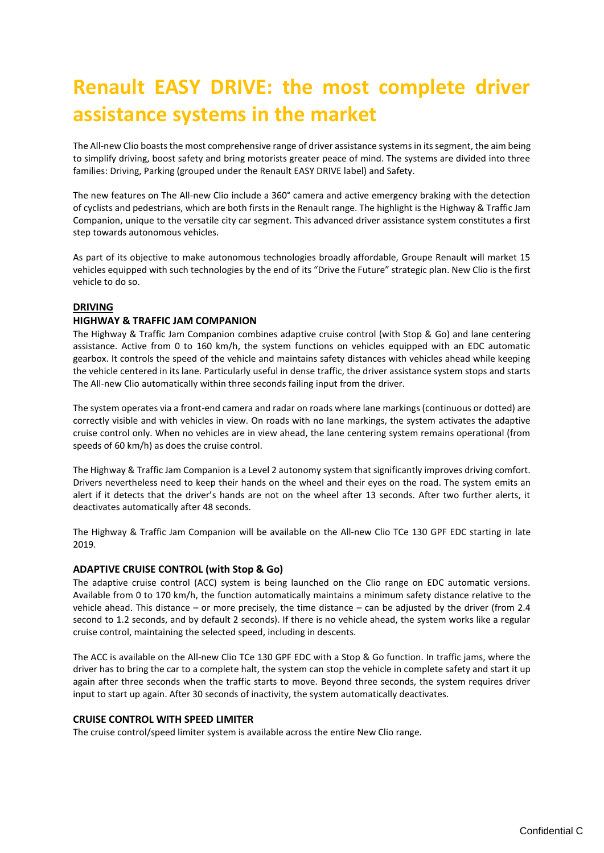# <span id="page-8-0"></span>**Renault EASY DRIVE: the most complete driver assistance systems in the market**

The All-new Clio boasts the most comprehensive range of driver assistance systems in its segment, the aim being to simplify driving, boost safety and bring motorists greater peace of mind. The systems are divided into three families: Driving, Parking (grouped under the Renault EASY DRIVE label) and Safety.

The new features on The All-new Clio include a 360° camera and active emergency braking with the detection of cyclists and pedestrians, which are both firsts in the Renault range. The highlight is the Highway & Traffic Jam Companion, unique to the versatile city car segment. This advanced driver assistance system constitutes a first step towards autonomous vehicles.

As part of its objective to make autonomous technologies broadly affordable, Groupe Renault will market 15 vehicles equipped with such technologies by the end of its "Drive the Future" strategic plan. New Clio is the first vehicle to do so.

# **DRIVING**

# **HIGHWAY & TRAFFIC JAM COMPANION**

The Highway & Traffic Jam Companion combines adaptive cruise control (with Stop & Go) and lane centering assistance. Active from 0 to 160 km/h, the system functions on vehicles equipped with an EDC automatic gearbox. It controls the speed of the vehicle and maintains safety distances with vehicles ahead while keeping the vehicle centered in its lane. Particularly useful in dense traffic, the driver assistance system stops and starts The All-new Clio automatically within three seconds failing input from the driver.

The system operates via a front-end camera and radar on roads where lane markings (continuous or dotted) are correctly visible and with vehicles in view. On roads with no lane markings, the system activates the adaptive cruise control only. When no vehicles are in view ahead, the lane centering system remains operational (from speeds of 60 km/h) as does the cruise control.

The Highway & Traffic Jam Companion is a Level 2 autonomy system that significantly improves driving comfort. Drivers nevertheless need to keep their hands on the wheel and their eyes on the road. The system emits an alert if it detects that the driver's hands are not on the wheel after 13 seconds. After two further alerts, it deactivates automatically after 48 seconds.

The Highway & Traffic Jam Companion will be available on the All-new Clio TCe 130 GPF EDC starting in late 2019.

# **ADAPTIVE CRUISE CONTROL (with Stop & Go)**

The adaptive cruise control (ACC) system is being launched on the Clio range on EDC automatic versions. Available from 0 to 170 km/h, the function automatically maintains a minimum safety distance relative to the vehicle ahead. This distance – or more precisely, the time distance – can be adjusted by the driver (from 2.4 second to 1.2 seconds, and by default 2 seconds). If there is no vehicle ahead, the system works like a regular cruise control, maintaining the selected speed, including in descents.

The ACC is available on the All-new Clio TCe 130 GPF EDC with a Stop & Go function. In traffic jams, where the driver has to bring the car to a complete halt, the system can stop the vehicle in complete safety and start it up again after three seconds when the traffic starts to move. Beyond three seconds, the system requires driver input to start up again. After 30 seconds of inactivity, the system automatically deactivates.

# **CRUISE CONTROL WITH SPEED LIMITER**

The cruise control/speed limiter system is available across the entire New Clio range.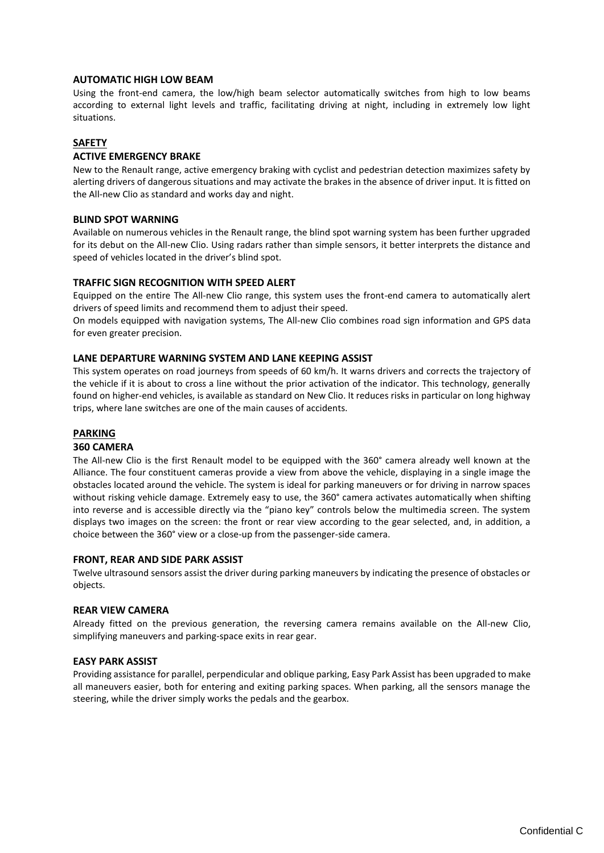# **AUTOMATIC HIGH LOW BEAM**

Using the front-end camera, the low/high beam selector automatically switches from high to low beams according to external light levels and traffic, facilitating driving at night, including in extremely low light situations.

### **SAFETY**

### **ACTIVE EMERGENCY BRAKE**

New to the Renault range, active emergency braking with cyclist and pedestrian detection maximizes safety by alerting drivers of dangerous situations and may activate the brakes in the absence of driver input. It is fitted on the All-new Clio as standard and works day and night.

#### **BLIND SPOT WARNING**

Available on numerous vehicles in the Renault range, the blind spot warning system has been further upgraded for its debut on the All-new Clio. Using radars rather than simple sensors, it better interprets the distance and speed of vehicles located in the driver's blind spot.

# **TRAFFIC SIGN RECOGNITION WITH SPEED ALERT**

Equipped on the entire The All-new Clio range, this system uses the front-end camera to automatically alert drivers of speed limits and recommend them to adjust their speed.

On models equipped with navigation systems, The All-new Clio combines road sign information and GPS data for even greater precision.

#### **LANE DEPARTURE WARNING SYSTEM AND LANE KEEPING ASSIST**

This system operates on road journeys from speeds of 60 km/h. It warns drivers and corrects the trajectory of the vehicle if it is about to cross a line without the prior activation of the indicator. This technology, generally found on higher-end vehicles, is available as standard on New Clio. It reduces risks in particular on long highway trips, where lane switches are one of the main causes of accidents.

# **PARKING**

#### **360 CAMERA**

The All-new Clio is the first Renault model to be equipped with the 360° camera already well known at the Alliance. The four constituent cameras provide a view from above the vehicle, displaying in a single image the obstacles located around the vehicle. The system is ideal for parking maneuvers or for driving in narrow spaces without risking vehicle damage. Extremely easy to use, the 360° camera activates automatically when shifting into reverse and is accessible directly via the "piano key" controls below the multimedia screen. The system displays two images on the screen: the front or rear view according to the gear selected, and, in addition, a choice between the 360° view or a close-up from the passenger-side camera.

#### **FRONT, REAR AND SIDE PARK ASSIST**

Twelve ultrasound sensors assist the driver during parking maneuvers by indicating the presence of obstacles or objects.

#### **REAR VIEW CAMERA**

Already fitted on the previous generation, the reversing camera remains available on the All-new Clio, simplifying maneuvers and parking-space exits in rear gear.

#### **EASY PARK ASSIST**

Providing assistance for parallel, perpendicular and oblique parking, Easy Park Assist has been upgraded to make all maneuvers easier, both for entering and exiting parking spaces. When parking, all the sensors manage the steering, while the driver simply works the pedals and the gearbox.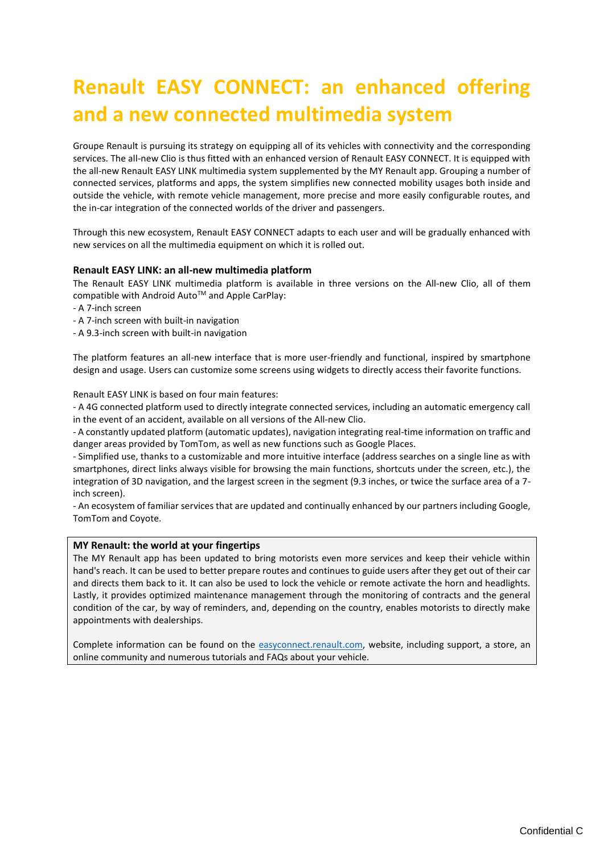# <span id="page-10-0"></span>**Renault EASY CONNECT: an enhanced offering and a new connected multimedia system**

Groupe Renault is pursuing its strategy on equipping all of its vehicles with connectivity and the corresponding services. The all-new Clio is thus fitted with an enhanced version of Renault EASY CONNECT. It is equipped with the all-new Renault EASY LINK multimedia system supplemented by the MY Renault app. Grouping a number of connected services, platforms and apps, the system simplifies new connected mobility usages both inside and outside the vehicle, with remote vehicle management, more precise and more easily configurable routes, and the in-car integration of the connected worlds of the driver and passengers.

Through this new ecosystem, Renault EASY CONNECT adapts to each user and will be gradually enhanced with new services on all the multimedia equipment on which it is rolled out.

# **Renault EASY LINK: an all-new multimedia platform**

The Renault EASY LINK multimedia platform is available in three versions on the All-new Clio, all of them compatible with Android Auto<sup>™</sup> and Apple CarPlay:

- A 7-inch screen

- A 7-inch screen with built-in navigation
- A 9.3-inch screen with built-in navigation

The platform features an all-new interface that is more user-friendly and functional, inspired by smartphone design and usage. Users can customize some screens using widgets to directly access their favorite functions.

#### Renault EASY LINK is based on four main features:

- A 4G connected platform used to directly integrate connected services, including an automatic emergency call in the event of an accident, available on all versions of the All-new Clio.

- A constantly updated platform (automatic updates), navigation integrating real-time information on traffic and danger areas provided by TomTom, as well as new functions such as Google Places.

- Simplified use, thanks to a customizable and more intuitive interface (address searches on a single line as with smartphones, direct links always visible for browsing the main functions, shortcuts under the screen, etc.), the integration of 3D navigation, and the largest screen in the segment (9.3 inches, or twice the surface area of a 7 inch screen).

- An ecosystem of familiar services that are updated and continually enhanced by our partners including Google, TomTom and Coyote.

# **MY Renault: the world at your fingertips**

The MY Renault app has been updated to bring motorists even more services and keep their vehicle within hand's reach. It can be used to better prepare routes and continues to guide users after they get out of their car and directs them back to it. It can also be used to lock the vehicle or remote activate the horn and headlights. Lastly, it provides optimized maintenance management through the monitoring of contracts and the general condition of the car, by way of reminders, and, depending on the country, enables motorists to directly make appointments with dealerships.

Complete information can be found on the [easyconnect.renault.com,](https://easyconnect.renault.com/) website, including support, a store, an online community and numerous tutorials and FAQs about your vehicle.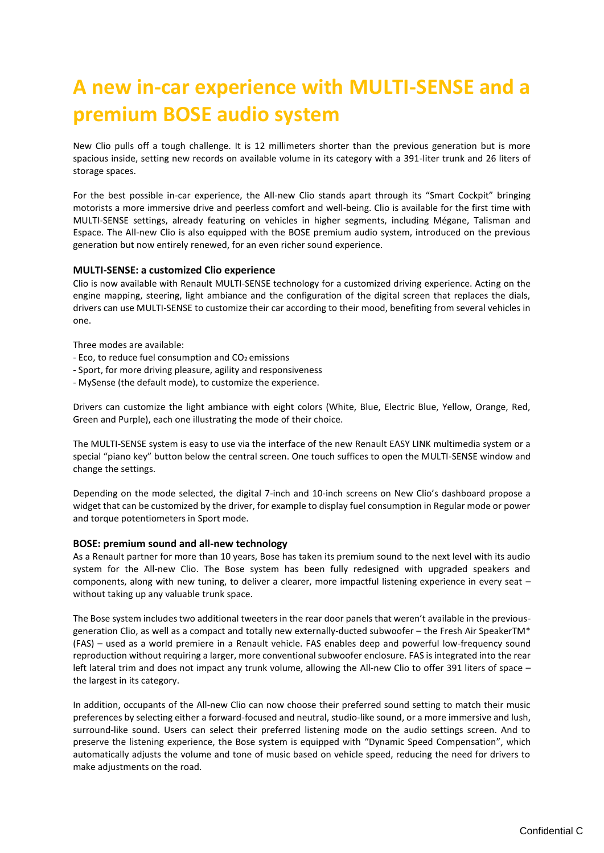# <span id="page-11-0"></span>**A new in-car experience with MULTI-SENSE and a premium BOSE audio system**

New Clio pulls off a tough challenge. It is 12 millimeters shorter than the previous generation but is more spacious inside, setting new records on available volume in its category with a 391-liter trunk and 26 liters of storage spaces.

For the best possible in-car experience, the All-new Clio stands apart through its "Smart Cockpit" bringing motorists a more immersive drive and peerless comfort and well-being. Clio is available for the first time with MULTI-SENSE settings, already featuring on vehicles in higher segments, including Mégane, Talisman and Espace. The All-new Clio is also equipped with the BOSE premium audio system, introduced on the previous generation but now entirely renewed, for an even richer sound experience.

# **MULTI-SENSE: a customized Clio experience**

Clio is now available with Renault MULTI-SENSE technology for a customized driving experience. Acting on the engine mapping, steering, light ambiance and the configuration of the digital screen that replaces the dials, drivers can use MULTI-SENSE to customize their car according to their mood, benefiting from several vehicles in one.

Three modes are available:

- $-$  Eco, to reduce fuel consumption and  $CO<sub>2</sub>$  emissions
- Sport, for more driving pleasure, agility and responsiveness
- MySense (the default mode), to customize the experience.

Drivers can customize the light ambiance with eight colors (White, Blue, Electric Blue, Yellow, Orange, Red, Green and Purple), each one illustrating the mode of their choice.

The MULTI-SENSE system is easy to use via the interface of the new Renault EASY LINK multimedia system or a special "piano key" button below the central screen. One touch suffices to open the MULTI-SENSE window and change the settings.

Depending on the mode selected, the digital 7-inch and 10-inch screens on New Clio's dashboard propose a widget that can be customized by the driver, for example to display fuel consumption in Regular mode or power and torque potentiometers in Sport mode.

#### **BOSE: premium sound and all-new technology**

As a Renault partner for more than 10 years, Bose has taken its premium sound to the next level with its audio system for the All-new Clio. The Bose system has been fully redesigned with upgraded speakers and components, along with new tuning, to deliver a clearer, more impactful listening experience in every seat – without taking up any valuable trunk space.

The Bose system includes two additional tweeters in the rear door panels that weren't available in the previousgeneration Clio, as well as a compact and totally new externally-ducted subwoofer – the Fresh Air SpeakerTM\* (FAS) – used as a world premiere in a Renault vehicle. FAS enables deep and powerful low-frequency sound reproduction without requiring a larger, more conventional subwoofer enclosure. FAS is integrated into the rear left lateral trim and does not impact any trunk volume, allowing the All-new Clio to offer 391 liters of space – the largest in its category.

In addition, occupants of the All-new Clio can now choose their preferred sound setting to match their music preferences by selecting either a forward-focused and neutral, studio-like sound, or a more immersive and lush, surround-like sound. Users can select their preferred listening mode on the audio settings screen. And to preserve the listening experience, the Bose system is equipped with "Dynamic Speed Compensation", which automatically adjusts the volume and tone of music based on vehicle speed, reducing the need for drivers to make adjustments on the road.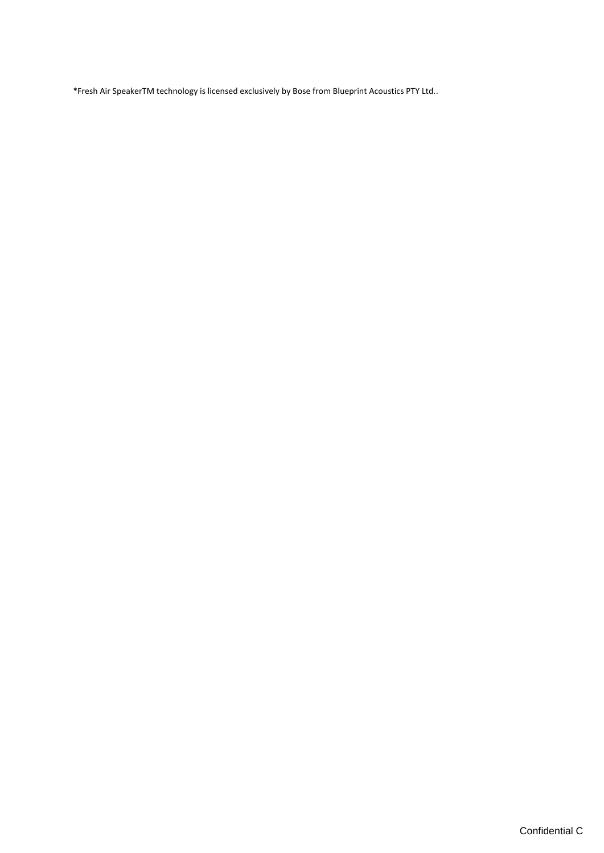\*Fresh Air SpeakerTM technology is licensed exclusively by Bose from Blueprint Acoustics PTY Ltd..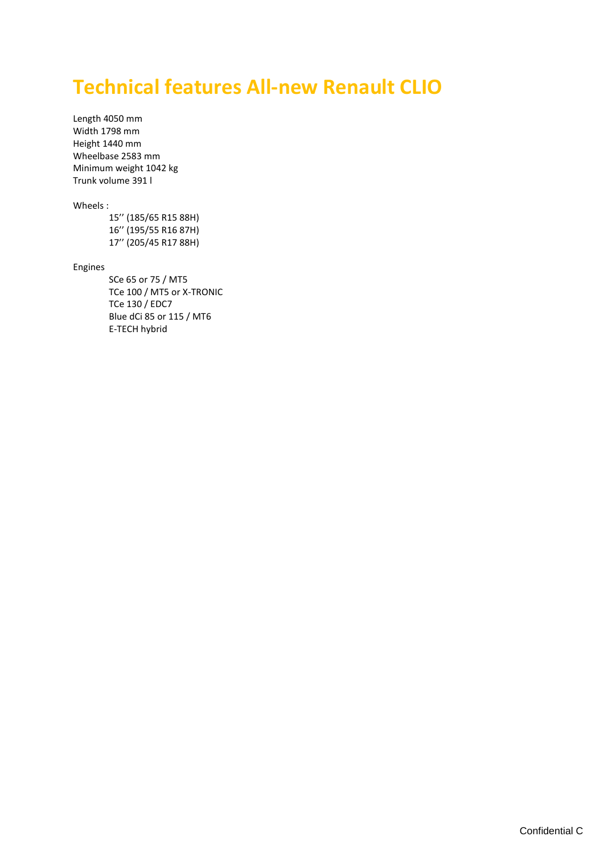# <span id="page-13-0"></span>**Technical features All-new Renault CLIO**

Length 4050 mm Width 1798 mm Height 1440 mm Wheelbase 2583 mm Minimum weight 1042 kg Trunk volume 391 l

### Wheels :

15'' (185/65 R15 88H) 16'' (195/55 R16 87H) 17'' (205/45 R17 88H)

#### Engines

SCe 65 or 75 / MT5 TCe 100 / MT5 or X-TRONIC TCe 130 / EDC7 Blue dCi 85 or 115 / MT6 E-TECH hybrid